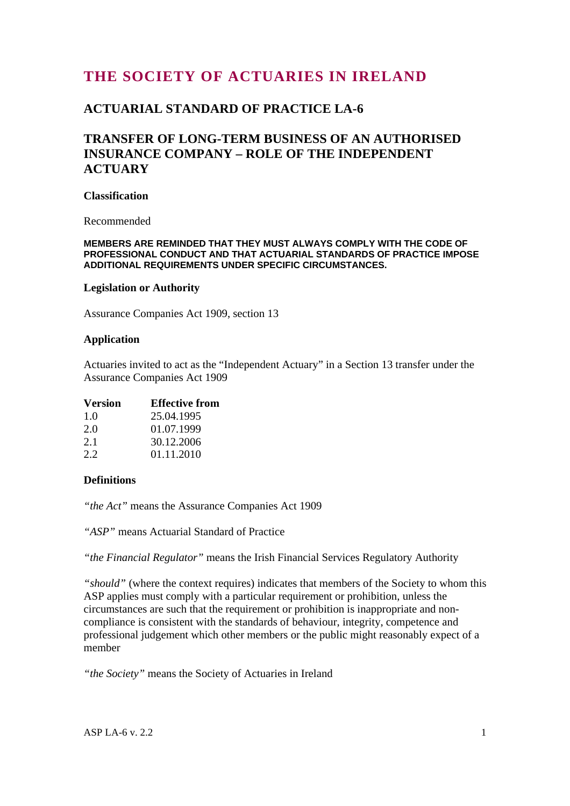# **THE SOCIETY OF ACTUARIES IN IRELAND**

## **ACTUARIAL STANDARD OF PRACTICE LA-6**

## **TRANSFER OF LONG-TERM BUSINESS OF AN AUTHORISED INSURANCE COMPANY – ROLE OF THE INDEPENDENT ACTUARY**

### **Classification**

Recommended

#### **MEMBERS ARE REMINDED THAT THEY MUST ALWAYS COMPLY WITH THE CODE OF PROFESSIONAL CONDUCT AND THAT ACTUARIAL STANDARDS OF PRACTICE IMPOSE ADDITIONAL REQUIREMENTS UNDER SPECIFIC CIRCUMSTANCES.**

#### **Legislation or Authority**

Assurance Companies Act 1909, section 13

#### **Application**

Actuaries invited to act as the "Independent Actuary" in a Section 13 transfer under the Assurance Companies Act 1909

| <b>Version</b> | <b>Effective from</b> |
|----------------|-----------------------|
| 1 O            | 25.04.1995            |

| 2.0 | 01.07.1999 |
|-----|------------|
| 2.1 | 30.12.2006 |
| 2.2 | 01.11.2010 |

### **Definitions**

*"the Act"* means the Assurance Companies Act 1909

*"ASP"* means Actuarial Standard of Practice

*"the Financial Regulator"* means the Irish Financial Services Regulatory Authority

*"should"* (where the context requires) indicates that members of the Society to whom this ASP applies must comply with a particular requirement or prohibition, unless the circumstances are such that the requirement or prohibition is inappropriate and noncompliance is consistent with the standards of behaviour, integrity, competence and professional judgement which other members or the public might reasonably expect of a member

*"the Society"* means the Society of Actuaries in Ireland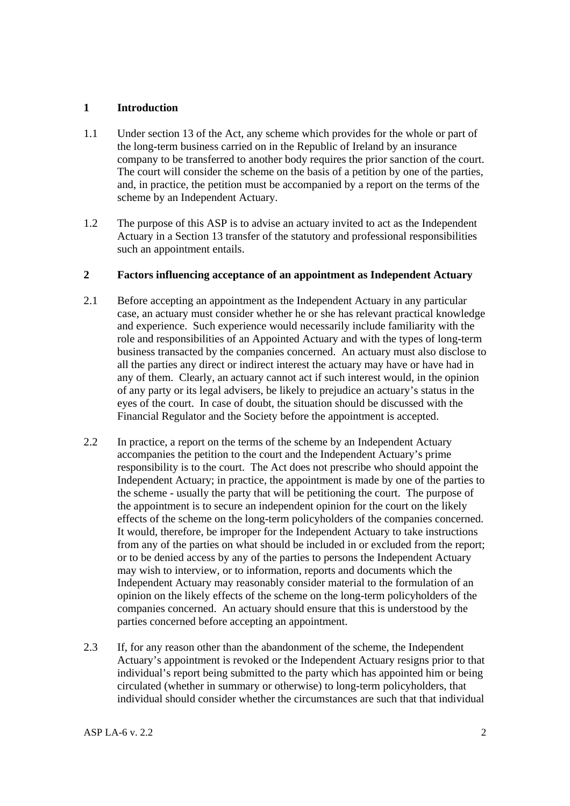## **1 Introduction**

- 1.1 Under section 13 of the Act, any scheme which provides for the whole or part of the long-term business carried on in the Republic of Ireland by an insurance company to be transferred to another body requires the prior sanction of the court. The court will consider the scheme on the basis of a petition by one of the parties, and, in practice, the petition must be accompanied by a report on the terms of the scheme by an Independent Actuary.
- 1.2 The purpose of this ASP is to advise an actuary invited to act as the Independent Actuary in a Section 13 transfer of the statutory and professional responsibilities such an appointment entails.

## **2 Factors influencing acceptance of an appointment as Independent Actuary**

- 2.1 Before accepting an appointment as the Independent Actuary in any particular case, an actuary must consider whether he or she has relevant practical knowledge and experience. Such experience would necessarily include familiarity with the role and responsibilities of an Appointed Actuary and with the types of long-term business transacted by the companies concerned. An actuary must also disclose to all the parties any direct or indirect interest the actuary may have or have had in any of them. Clearly, an actuary cannot act if such interest would, in the opinion of any party or its legal advisers, be likely to prejudice an actuary's status in the eyes of the court. In case of doubt, the situation should be discussed with the Financial Regulator and the Society before the appointment is accepted.
- 2.2 In practice, a report on the terms of the scheme by an Independent Actuary accompanies the petition to the court and the Independent Actuary's prime responsibility is to the court. The Act does not prescribe who should appoint the Independent Actuary; in practice, the appointment is made by one of the parties to the scheme - usually the party that will be petitioning the court. The purpose of the appointment is to secure an independent opinion for the court on the likely effects of the scheme on the long-term policyholders of the companies concerned. It would, therefore, be improper for the Independent Actuary to take instructions from any of the parties on what should be included in or excluded from the report; or to be denied access by any of the parties to persons the Independent Actuary may wish to interview, or to information, reports and documents which the Independent Actuary may reasonably consider material to the formulation of an opinion on the likely effects of the scheme on the long-term policyholders of the companies concerned. An actuary should ensure that this is understood by the parties concerned before accepting an appointment.
- 2.3 If, for any reason other than the abandonment of the scheme, the Independent Actuary's appointment is revoked or the Independent Actuary resigns prior to that individual's report being submitted to the party which has appointed him or being circulated (whether in summary or otherwise) to long-term policyholders, that individual should consider whether the circumstances are such that that individual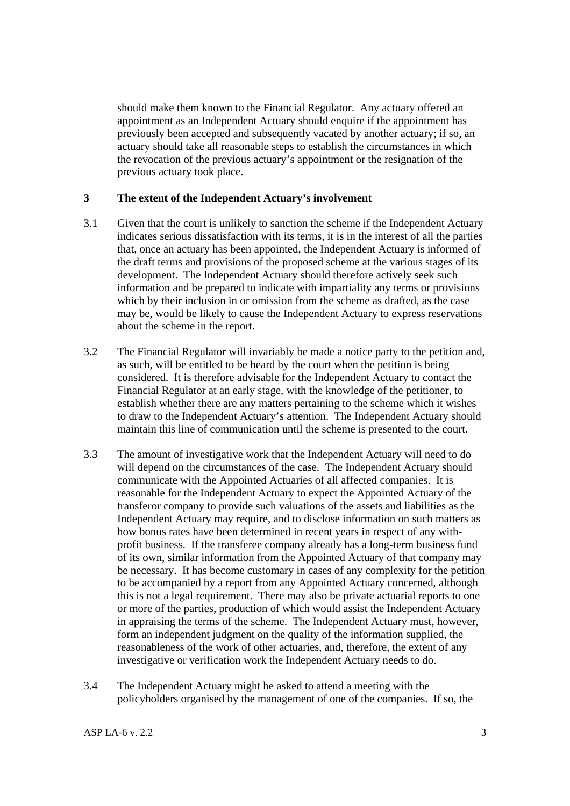should make them known to the Financial Regulator. Any actuary offered an appointment as an Independent Actuary should enquire if the appointment has previously been accepted and subsequently vacated by another actuary; if so, an actuary should take all reasonable steps to establish the circumstances in which the revocation of the previous actuary's appointment or the resignation of the previous actuary took place.

## **3 The extent of the Independent Actuary's involvement**

- 3.1 Given that the court is unlikely to sanction the scheme if the Independent Actuary indicates serious dissatisfaction with its terms, it is in the interest of all the parties that, once an actuary has been appointed, the Independent Actuary is informed of the draft terms and provisions of the proposed scheme at the various stages of its development. The Independent Actuary should therefore actively seek such information and be prepared to indicate with impartiality any terms or provisions which by their inclusion in or omission from the scheme as drafted, as the case may be, would be likely to cause the Independent Actuary to express reservations about the scheme in the report.
- 3.2 The Financial Regulator will invariably be made a notice party to the petition and, as such, will be entitled to be heard by the court when the petition is being considered. It is therefore advisable for the Independent Actuary to contact the Financial Regulator at an early stage, with the knowledge of the petitioner, to establish whether there are any matters pertaining to the scheme which it wishes to draw to the Independent Actuary's attention. The Independent Actuary should maintain this line of communication until the scheme is presented to the court.
- 3.3 The amount of investigative work that the Independent Actuary will need to do will depend on the circumstances of the case. The Independent Actuary should communicate with the Appointed Actuaries of all affected companies. It is reasonable for the Independent Actuary to expect the Appointed Actuary of the transferor company to provide such valuations of the assets and liabilities as the Independent Actuary may require, and to disclose information on such matters as how bonus rates have been determined in recent years in respect of any withprofit business. If the transferee company already has a long-term business fund of its own, similar information from the Appointed Actuary of that company may be necessary. It has become customary in cases of any complexity for the petition to be accompanied by a report from any Appointed Actuary concerned, although this is not a legal requirement. There may also be private actuarial reports to one or more of the parties, production of which would assist the Independent Actuary in appraising the terms of the scheme. The Independent Actuary must, however, form an independent judgment on the quality of the information supplied, the reasonableness of the work of other actuaries, and, therefore, the extent of any investigative or verification work the Independent Actuary needs to do.
- 3.4 The Independent Actuary might be asked to attend a meeting with the policyholders organised by the management of one of the companies. If so, the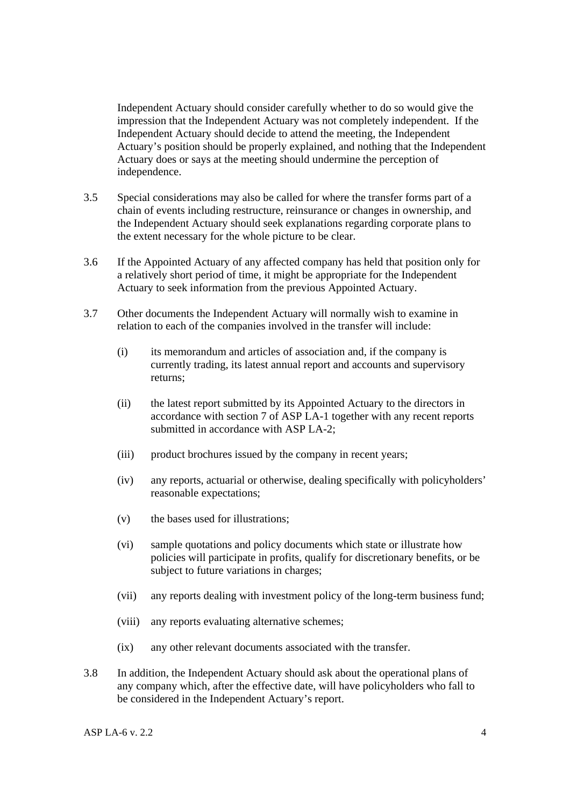Independent Actuary should consider carefully whether to do so would give the impression that the Independent Actuary was not completely independent. If the Independent Actuary should decide to attend the meeting, the Independent Actuary's position should be properly explained, and nothing that the Independent Actuary does or says at the meeting should undermine the perception of independence.

- 3.5 Special considerations may also be called for where the transfer forms part of a chain of events including restructure, reinsurance or changes in ownership, and the Independent Actuary should seek explanations regarding corporate plans to the extent necessary for the whole picture to be clear.
- 3.6 If the Appointed Actuary of any affected company has held that position only for a relatively short period of time, it might be appropriate for the Independent Actuary to seek information from the previous Appointed Actuary.
- 3.7 Other documents the Independent Actuary will normally wish to examine in relation to each of the companies involved in the transfer will include:
	- (i) its memorandum and articles of association and, if the company is currently trading, its latest annual report and accounts and supervisory returns;
	- (ii) the latest report submitted by its Appointed Actuary to the directors in accordance with section 7 of ASP LA-1 together with any recent reports submitted in accordance with ASP LA-2;
	- (iii) product brochures issued by the company in recent years;
	- (iv) any reports, actuarial or otherwise, dealing specifically with policyholders' reasonable expectations;
	- (v) the bases used for illustrations;
	- (vi) sample quotations and policy documents which state or illustrate how policies will participate in profits, qualify for discretionary benefits, or be subject to future variations in charges;
	- (vii) any reports dealing with investment policy of the long-term business fund;
	- (viii) any reports evaluating alternative schemes;
	- (ix) any other relevant documents associated with the transfer.
- 3.8 In addition, the Independent Actuary should ask about the operational plans of any company which, after the effective date, will have policyholders who fall to be considered in the Independent Actuary's report.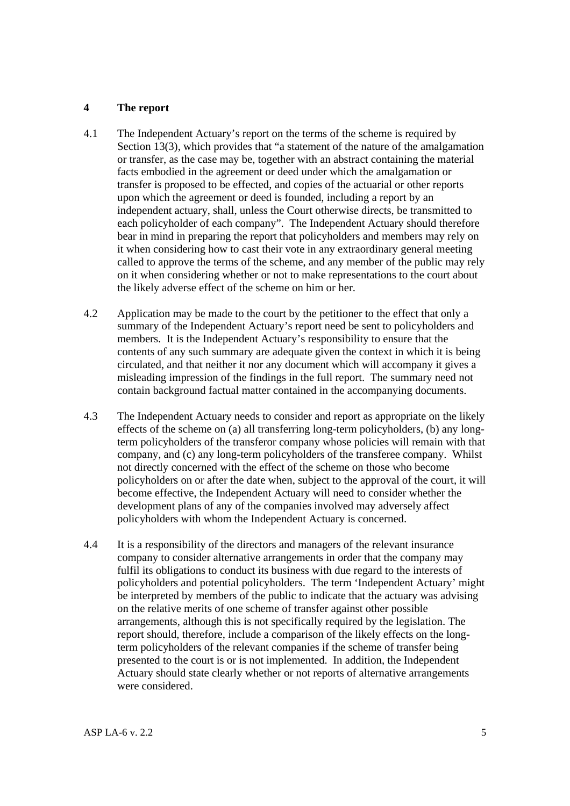## **4 The report**

- 4.1 The Independent Actuary's report on the terms of the scheme is required by Section 13(3), which provides that "a statement of the nature of the amalgamation or transfer, as the case may be, together with an abstract containing the material facts embodied in the agreement or deed under which the amalgamation or transfer is proposed to be effected, and copies of the actuarial or other reports upon which the agreement or deed is founded, including a report by an independent actuary, shall, unless the Court otherwise directs, be transmitted to each policyholder of each company". The Independent Actuary should therefore bear in mind in preparing the report that policyholders and members may rely on it when considering how to cast their vote in any extraordinary general meeting called to approve the terms of the scheme, and any member of the public may rely on it when considering whether or not to make representations to the court about the likely adverse effect of the scheme on him or her.
- 4.2 Application may be made to the court by the petitioner to the effect that only a summary of the Independent Actuary's report need be sent to policyholders and members. It is the Independent Actuary's responsibility to ensure that the contents of any such summary are adequate given the context in which it is being circulated, and that neither it nor any document which will accompany it gives a misleading impression of the findings in the full report. The summary need not contain background factual matter contained in the accompanying documents.
- 4.3 The Independent Actuary needs to consider and report as appropriate on the likely effects of the scheme on (a) all transferring long-term policyholders, (b) any longterm policyholders of the transferor company whose policies will remain with that company, and (c) any long-term policyholders of the transferee company. Whilst not directly concerned with the effect of the scheme on those who become policyholders on or after the date when, subject to the approval of the court, it will become effective, the Independent Actuary will need to consider whether the development plans of any of the companies involved may adversely affect policyholders with whom the Independent Actuary is concerned.
- 4.4 It is a responsibility of the directors and managers of the relevant insurance company to consider alternative arrangements in order that the company may fulfil its obligations to conduct its business with due regard to the interests of policyholders and potential policyholders. The term 'Independent Actuary' might be interpreted by members of the public to indicate that the actuary was advising on the relative merits of one scheme of transfer against other possible arrangements, although this is not specifically required by the legislation. The report should, therefore, include a comparison of the likely effects on the longterm policyholders of the relevant companies if the scheme of transfer being presented to the court is or is not implemented. In addition, the Independent Actuary should state clearly whether or not reports of alternative arrangements were considered.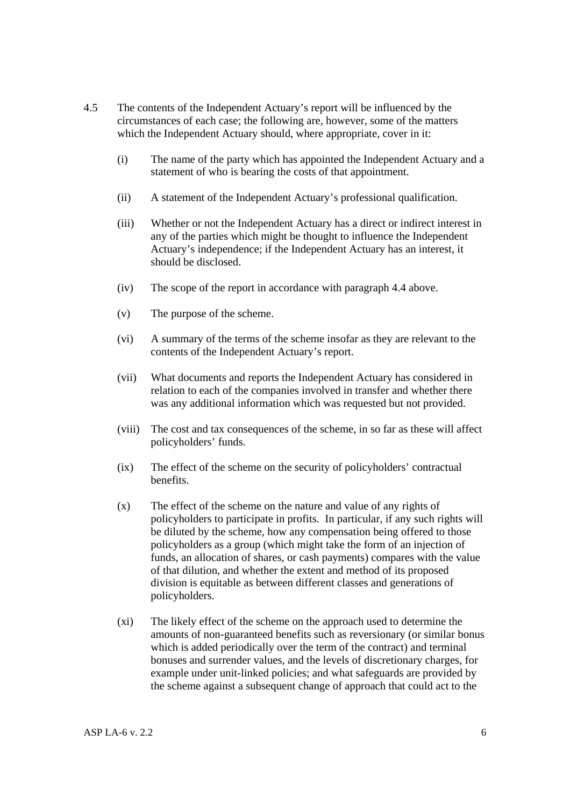- 4.5 The contents of the Independent Actuary's report will be influenced by the circumstances of each case; the following are, however, some of the matters which the Independent Actuary should, where appropriate, cover in it:
	- (i) The name of the party which has appointed the Independent Actuary and a statement of who is bearing the costs of that appointment.
	- (ii) A statement of the Independent Actuary's professional qualification.
	- (iii) Whether or not the Independent Actuary has a direct or indirect interest in any of the parties which might be thought to influence the Independent Actuary's independence; if the Independent Actuary has an interest, it should be disclosed.
	- (iv) The scope of the report in accordance with paragraph 4.4 above.
	- (v) The purpose of the scheme.
	- (vi) A summary of the terms of the scheme insofar as they are relevant to the contents of the Independent Actuary's report.
	- (vii) What documents and reports the Independent Actuary has considered in relation to each of the companies involved in transfer and whether there was any additional information which was requested but not provided.
	- (viii) The cost and tax consequences of the scheme, in so far as these will affect policyholders' funds.
	- (ix) The effect of the scheme on the security of policyholders' contractual benefits.
	- (x) The effect of the scheme on the nature and value of any rights of policyholders to participate in profits. In particular, if any such rights will be diluted by the scheme, how any compensation being offered to those policyholders as a group (which might take the form of an injection of funds, an allocation of shares, or cash payments) compares with the value of that dilution, and whether the extent and method of its proposed division is equitable as between different classes and generations of policyholders.
	- (xi) The likely effect of the scheme on the approach used to determine the amounts of non-guaranteed benefits such as reversionary (or similar bonus which is added periodically over the term of the contract) and terminal bonuses and surrender values, and the levels of discretionary charges, for example under unit-linked policies; and what safeguards are provided by the scheme against a subsequent change of approach that could act to the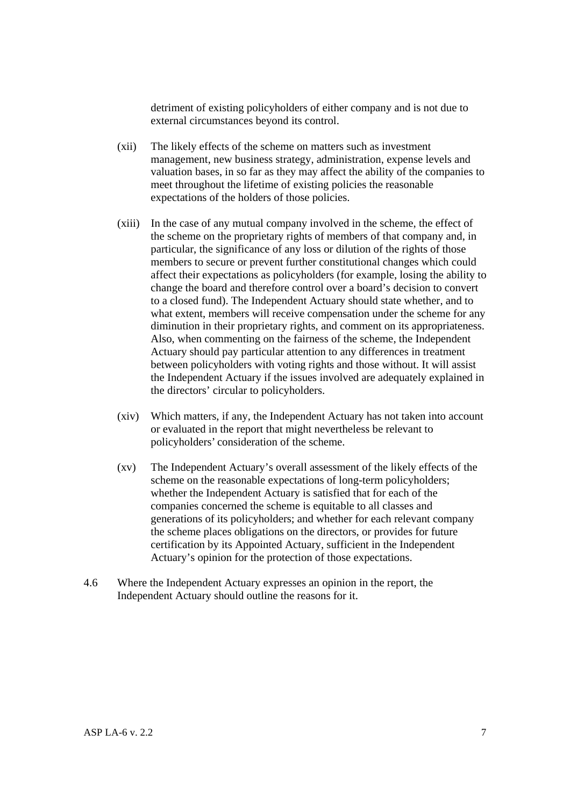detriment of existing policyholders of either company and is not due to external circumstances beyond its control.

- (xii) The likely effects of the scheme on matters such as investment management, new business strategy, administration, expense levels and valuation bases, in so far as they may affect the ability of the companies to meet throughout the lifetime of existing policies the reasonable expectations of the holders of those policies.
- (xiii) In the case of any mutual company involved in the scheme, the effect of the scheme on the proprietary rights of members of that company and, in particular, the significance of any loss or dilution of the rights of those members to secure or prevent further constitutional changes which could affect their expectations as policyholders (for example, losing the ability to change the board and therefore control over a board's decision to convert to a closed fund). The Independent Actuary should state whether, and to what extent, members will receive compensation under the scheme for any diminution in their proprietary rights, and comment on its appropriateness. Also, when commenting on the fairness of the scheme, the Independent Actuary should pay particular attention to any differences in treatment between policyholders with voting rights and those without. It will assist the Independent Actuary if the issues involved are adequately explained in the directors' circular to policyholders.
- (xiv) Which matters, if any, the Independent Actuary has not taken into account or evaluated in the report that might nevertheless be relevant to policyholders' consideration of the scheme.
- (xv) The Independent Actuary's overall assessment of the likely effects of the scheme on the reasonable expectations of long-term policyholders; whether the Independent Actuary is satisfied that for each of the companies concerned the scheme is equitable to all classes and generations of its policyholders; and whether for each relevant company the scheme places obligations on the directors, or provides for future certification by its Appointed Actuary, sufficient in the Independent Actuary's opinion for the protection of those expectations.
- 4.6 Where the Independent Actuary expresses an opinion in the report, the Independent Actuary should outline the reasons for it.